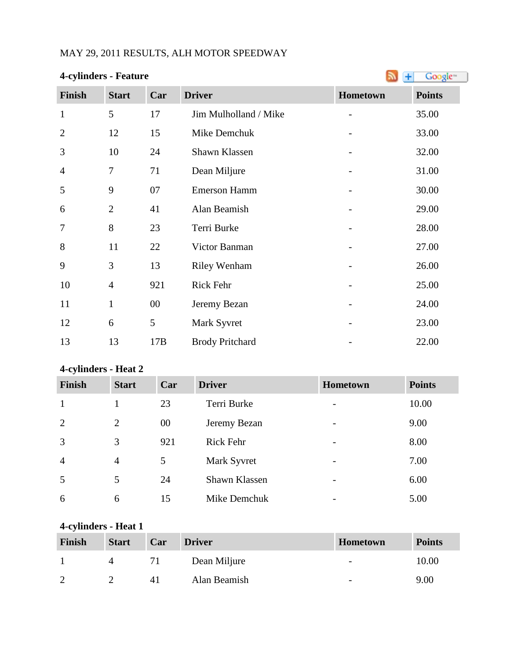# MAY 29, 2011 RESULTS, ALH MOTOR SPEEDWAY

| <b>4-cylinders - Feature</b> |                |        | Ŧ                      | Google <sup>®</sup>      |               |
|------------------------------|----------------|--------|------------------------|--------------------------|---------------|
| Finish                       | <b>Start</b>   | Car    | <b>Driver</b>          | Hometown                 | <b>Points</b> |
| $\mathbf{1}$                 | 5              | 17     | Jim Mulholland / Mike  | $\overline{\phantom{0}}$ | 35.00         |
| $\overline{2}$               | 12             | 15     | Mike Demchuk           |                          | 33.00         |
| 3                            | 10             | 24     | Shawn Klassen          |                          | 32.00         |
| $\overline{4}$               | $\tau$         | 71     | Dean Miljure           |                          | 31.00         |
| 5                            | 9              | 07     | <b>Emerson Hamm</b>    |                          | 30.00         |
| 6                            | $\overline{2}$ | 41     | Alan Beamish           |                          | 29.00         |
| 7                            | 8              | 23     | Terri Burke            |                          | 28.00         |
| 8                            | 11             | 22     | Victor Banman          |                          | 27.00         |
| 9                            | 3              | 13     | <b>Riley Wenham</b>    |                          | 26.00         |
| 10                           | $\overline{4}$ | 921    | <b>Rick Fehr</b>       |                          | 25.00         |
| 11                           | $\mathbf{1}$   | $00\,$ | Jeremy Bezan           |                          | 24.00         |
| 12                           | 6              | 5      | Mark Syvret            |                          | 23.00         |
| 13                           | 13             | 17B    | <b>Brody Pritchard</b> |                          | 22.00         |

# **4-cylinders - Heat 2**

| Finish         | <b>Start</b>   | Car | <b>Driver</b>    | <b>Hometown</b>          | <b>Points</b> |
|----------------|----------------|-----|------------------|--------------------------|---------------|
| $\mathbf{1}$   |                | 23  | Terri Burke      | $\overline{\phantom{0}}$ | 10.00         |
| 2              | 2              | 00  | Jeremy Bezan     | $\overline{\phantom{a}}$ | 9.00          |
| 3              | 3              | 921 | <b>Rick Fehr</b> | $\overline{\phantom{0}}$ | 8.00          |
| $\overline{4}$ | $\overline{4}$ | 5   | Mark Syvret      | $\overline{\phantom{a}}$ | 7.00          |
| 5              | 5              | 24  | Shawn Klassen    | $\overline{\phantom{0}}$ | 6.00          |
| 6              | 6              | 15  | Mike Demchuk     | $\overline{\phantom{0}}$ | 5.00          |

# **4-cylinders - Heat 1**

| Finish        | <b>Start</b> | Car | <b>Driver</b> | <b>Hometown</b>          | <b>Points</b> |
|---------------|--------------|-----|---------------|--------------------------|---------------|
|               |              |     | Dean Miljure  | $\overline{\phantom{a}}$ | 10.00         |
| $\mathcal{D}$ |              | 41  | Alan Beamish  | $\overline{\phantom{a}}$ | 9.00          |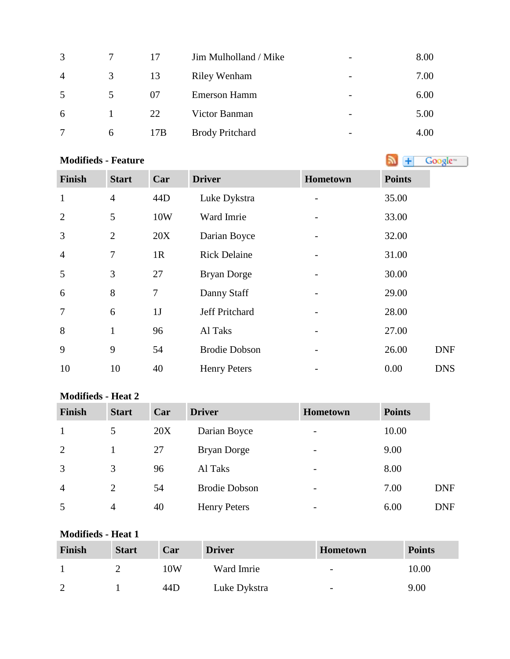| 3                      |   | 17  | Jim Mulholland / Mike  | $\overline{\phantom{a}}$ | 8.00 |
|------------------------|---|-----|------------------------|--------------------------|------|
| $\boldsymbol{\Lambda}$ | 3 | 13  | <b>Riley Wenham</b>    | $\overline{\phantom{0}}$ | 7.00 |
| 5                      | 5 | 07  | <b>Emerson Hamm</b>    | $\overline{\phantom{0}}$ | 6.00 |
| 6                      |   | 22  | Victor Banman          | $\overline{\phantom{0}}$ | 5.00 |
|                        | 6 | 17B | <b>Brody Pritchard</b> | $\overline{\phantom{0}}$ | 4.00 |

### **Modifieds - Feature**

**Finish Start Car Driver Hometown Points** 1 4 44D Luke Dykstra - 35.00 2 5 10W Ward Imrie - 33.00 3 2 20X Darian Boyce - 32.00 4 7 1R Rick Delaine - 31.00 5 3 27 Bryan Dorge - 30.00 6 8 7 Danny Staff - 29.00 7 6 1J Jeff Pritchard - 28.00 8 1 96 Al Taks - 27.00 9 9 54 Brodie Dobson - 26.00 DNF 10 10 40 Henry Peters - 0.00 DNS

### **Modifieds - Heat 2**

| <b>Finish</b>  | <b>Start</b>   | Car | <b>Driver</b>        | <b>Hometown</b>          | <b>Points</b> |            |
|----------------|----------------|-----|----------------------|--------------------------|---------------|------------|
| 1              | 5              | 20X | Darian Boyce         | $\overline{\phantom{m}}$ | 10.00         |            |
| 2              |                | 27  | <b>Bryan Dorge</b>   | $\overline{\phantom{0}}$ | 9.00          |            |
| 3              | 3              | 96  | Al Taks              | $\overline{\phantom{0}}$ | 8.00          |            |
| $\overline{4}$ | $\overline{2}$ | 54  | <b>Brodie Dobson</b> | $\overline{\phantom{0}}$ | 7.00          | <b>DNF</b> |
| 5              | 4              | 40  | <b>Henry Peters</b>  | $\overline{\phantom{0}}$ | 6.00          | <b>DNF</b> |

#### **Modifieds - Heat 1**

| Finish | <b>Start</b> | Car | <b>Driver</b> | <b>Hometown</b>          | <b>Points</b> |
|--------|--------------|-----|---------------|--------------------------|---------------|
|        |              | 10W | Ward Imrie    | $\overline{\phantom{0}}$ | 10.00         |
| ി      |              | 44D | Luke Dykstra  | $\overline{\phantom{a}}$ | 9.00          |

Google<sup>®</sup>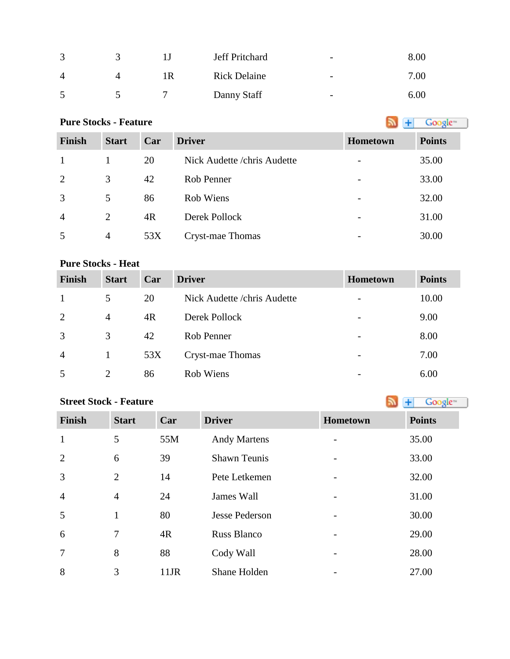| $\sqrt{2}$ |     | Jeff Pritchard      | $\overline{\phantom{a}}$ | $8.00\,$ |
|------------|-----|---------------------|--------------------------|----------|
| 4          | l R | <b>Rick Delaine</b> | $\overline{\phantom{a}}$ | 7.00     |
|            |     | Danny Staff         | $\overline{\phantom{0}}$ | 6.00     |

# **PureStocks - Feature Algebra 2016 Constant Constant Constant Constant Constant Constant Constant Constant Constant Constant Constant Constant Constant Constant Constant Constant Constant Constant Constant Constant Co**

| <b>Finish</b>  | <b>Start</b> | Car | <b>Driver</b>                | Hometown | <b>Points</b> |
|----------------|--------------|-----|------------------------------|----------|---------------|
| $\overline{1}$ |              | 20  | Nick Audette / chris Audette |          | 35.00         |
| 2              | 3            | 42  | Rob Penner                   | -        | 33.00         |
| 3              | 5            | 86  | Rob Wiens                    | -        | 32.00         |
| $\overline{4}$ | 2            | 4R  | Derek Pollock                |          | 31.00         |
| 5              | 4            | 53X | Cryst-mae Thomas             | -        | 30.00         |

## **Pure Stocks - Heat**

| <b>Finish</b>  | <b>Start</b>   | Car | <b>Driver</b>                | <b>Hometown</b> | <b>Points</b> |
|----------------|----------------|-----|------------------------------|-----------------|---------------|
|                | 5              | 20  | Nick Audette / chris Audette |                 | 10.00         |
| 2              | $\overline{4}$ | 4R  | Derek Pollock                |                 | 9.00          |
| 3              | 3              | 42  | Rob Penner                   |                 | 8.00          |
| $\overline{4}$ |                | 53X | Cryst-mae Thomas             |                 | 7.00          |
| 5              | $\overline{2}$ | 86  | Rob Wiens                    |                 | 6.00          |

# **StreetStock - Feature Street Stock - Feature**

| <b>Finish</b>  | <b>Start</b>   | Car  | <b>Driver</b>       | <b>Hometown</b>          | <b>Points</b> |
|----------------|----------------|------|---------------------|--------------------------|---------------|
| $\mathbf{1}$   | 5              | 55M  | <b>Andy Martens</b> |                          | 35.00         |
| $\overline{2}$ | 6              | 39   | <b>Shawn Teunis</b> |                          | 33.00         |
| $\overline{3}$ | $\overline{2}$ | 14   | Pete Letkemen       |                          | 32.00         |
| $\overline{4}$ | $\overline{4}$ | 24   | James Wall          |                          | 31.00         |
| 5              | 1              | 80   | Jesse Pederson      | $\overline{\phantom{0}}$ | 30.00         |
| 6              | 7              | 4R   | <b>Russ Blanco</b>  |                          | 29.00         |
| $\overline{7}$ | 8              | 88   | Cody Wall           |                          | 28.00         |
| 8              | 3              | 11JR | Shane Holden        |                          | 27.00         |